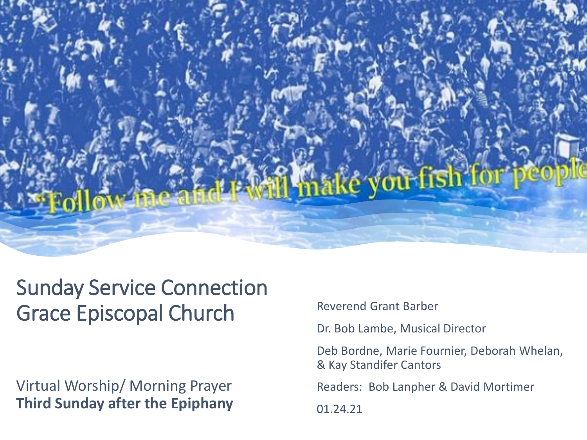

# Sunday Service Connection Grace Episcopal Church

Virtual Worship/ Morning Prayer **Third Sunday after the Epiphany** Reverend Grant Barber

Dr. Bob Lambe, Musical Director

Deb Bordne, Marie Fournier, Deborah Whelan, & Kay Standifer Cantors

Readers: Bob Lanpher & David Mortimer

01.24.21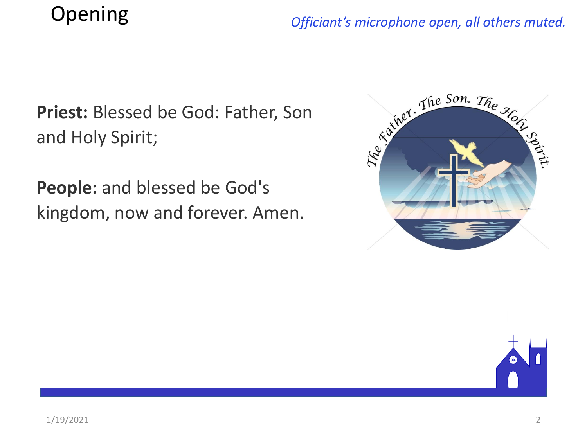# Opening

#### *Officiant's microphone open, all others muted.*

**Priest:** Blessed be God: Father, Son and Holy Spirit;

**People:** and blessed be God's kingdom, now and forever. Amen.



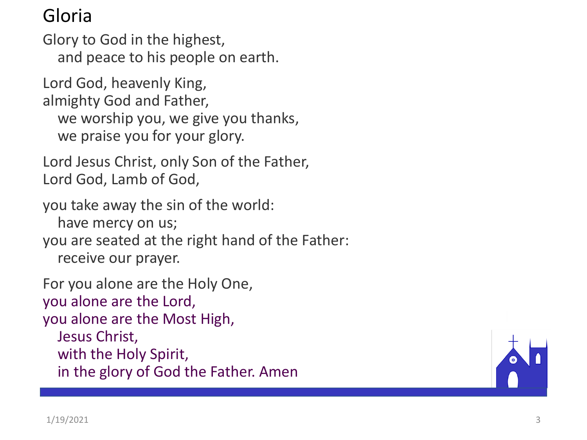#### Gloria

Glory to God in the highest, and peace to his people on earth.

Lord God, heavenly King, almighty God and Father, we worship you, we give you thanks, we praise you for your glory.

Lord Jesus Christ, only Son of the Father, Lord God, Lamb of God,

you take away the sin of the world: have mercy on us; you are seated at the right hand of the Father: receive our prayer.

For you alone are the Holy One, you alone are the Lord, you alone are the Most High , Jesus Christ, with the Holy Spirit, in the glory of God the Father. Amen

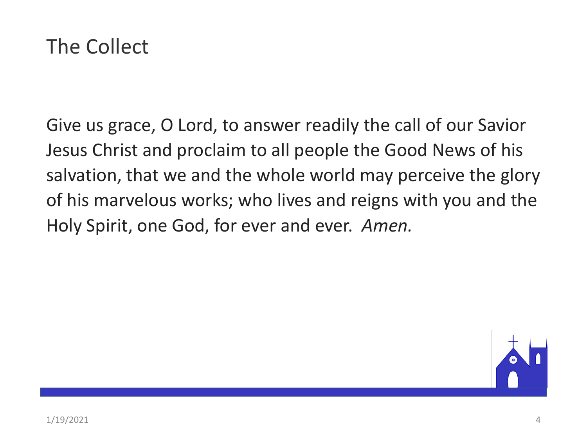

Give us grace, O Lord, to answer readily the call of our Savior Jesus Christ and proclaim to all people the Good News of his salvation, that we and the whole world may perceive the glory of his marvelous works; who lives and reigns with you and the Holy Spirit, one God, for ever and ever. *Amen.*

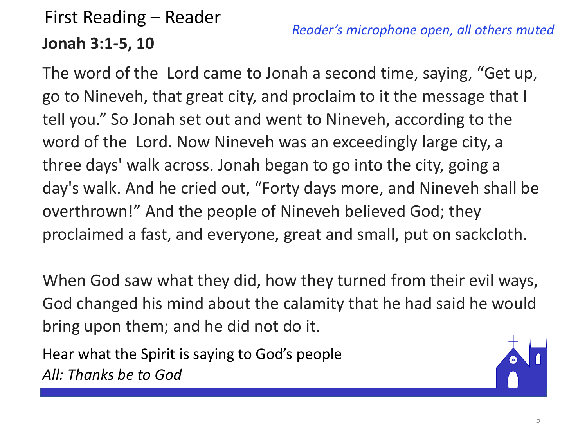## First Reading – Reader **Jonah 3:1-5, 10**

*Reader's microphone open, all others muted*

The word of the Lord came to Jonah a second time, saying, "Get up, go to Nineveh, that great city, and proclaim to it the message that I tell you." So Jonah set out and went to Nineveh, according to the word of the Lord. Now Nineveh was an exceedingly large city, a three days' walk across. Jonah began to go into the city, going a day's walk. And he cried out, "Forty days more, and Nineveh shall be overthrown!" And the people of Nineveh believed God; they proclaimed a fast, and everyone, great and small, put on sackcloth.

When God saw what they did, how they turned from their evil ways, God changed his mind about the calamity that he had said he would bring upon them; and he did not do it.

Hear what the Spirit is saying to God's people *All: Thanks be to God*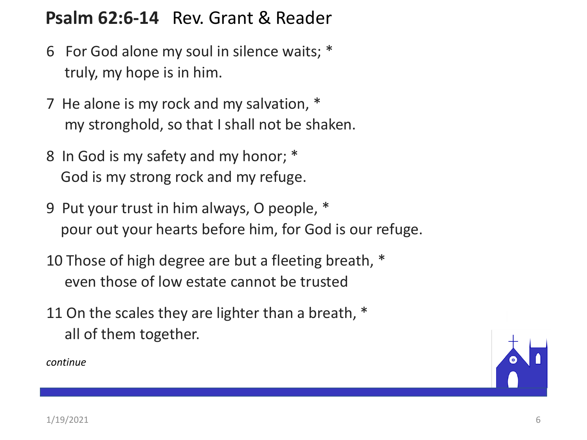#### **Psalm 62:6-14** Rev. Grant & Reader

- 6 For God alone my soul in silence waits; \* truly, my hope is in him.
- 7 He alone is my rock and my salvation, \* my stronghold, so that I shall not be shaken.
- 8 In God is my safety and my honor; \* God is my strong rock and my refuge.
- 9 Put your trust in him always, O people, \* pour out your hearts before him, for God is our refuge.
- 10 Those of high degree are but a fleeting breath, \* even those of low estate cannot be trusted
- 11 On the scales they are lighter than a breath,  $*$ all of them together.

*continue*

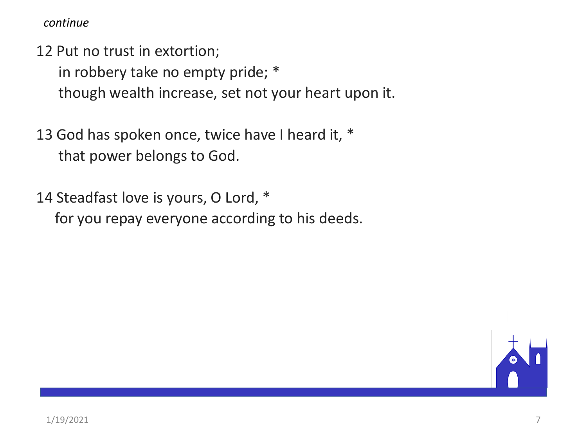*continue*

12 Put no trust in extortion;

in robbery take no empty pride; \*

though wealth increase, set not your heart upon it.

13 God has spoken once, twice have I heard it, \* that power belongs to God.

14 Steadfast love is yours, O Lord, \* for you repay everyone according to his deeds.

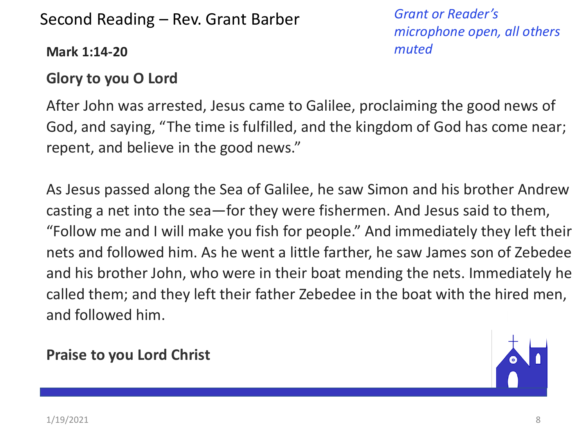#### Second Reading – Rev. Grant Barber

**Mark 1:14-20**

*microphone open, all others muted*

*Grant or Reader's* 

#### **Glory to you O Lord**

After John was arrested, Jesus came to Galilee, proclaiming the good news of God, and saying, "The time is fulfilled, and the kingdom of God has come near; repent, and believe in the good news."

As Jesus passed along the Sea of Galilee, he saw Simon and his brother Andrew casting a net into the sea—for they were fishermen. And Jesus said to them, "Follow me and I will make you fish for people." And immediately they left their nets and followed him. As he went a little farther, he saw James son of Zebedee and his brother John, who were in their boat mending the nets. Immediately he called them; and they left their father Zebedee in the boat with the hired men, and followed him.

#### **Praise to you Lord Christ**

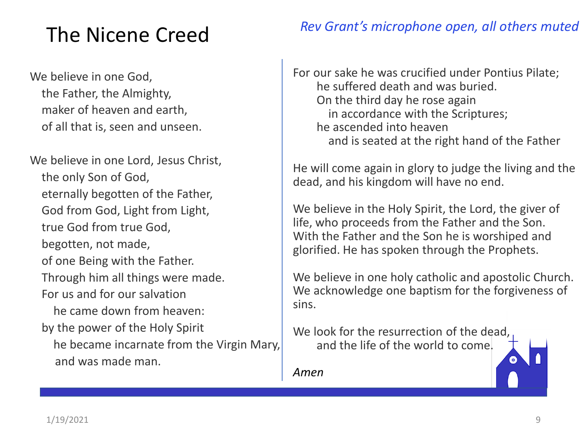## The Nicene Creed

We believe in one God, the Father, the Almighty, maker of heaven and earth, of all that is, seen and unseen.

We believe in one Lord, Jesus Christ, the only Son of God, eternally begotten of the Father, God from God, Light from Light, true God from true God, begotten, not made, of one Being with the Father. Through him all things were made. For us and for our salvation he came down from heaven: by the power of the Holy Spirit he became incarnate from the Virgin Mary, and was made man.

#### *Rev Grant's microphone open, all others muted*

For our sake he was crucified under Pontius Pilate; he suffered death and was buried. On the third day he rose again in accordance with the Scriptures; he ascended into heaven and is seated at the right hand of the Father

He will come again in glory to judge the living and the dead, and his kingdom will have no end.

We believe in the Holy Spirit, the Lord, the giver of life, who proceeds from the Father and the Son. With the Father and the Son he is worshiped and glorified. He has spoken through the Prophets.

We believe in one holy catholic and apostolic Church. We acknowledge one baptism for the forgiveness of sins.

We look for the resurrection of the dead, and the life of the world to come.

*Amen*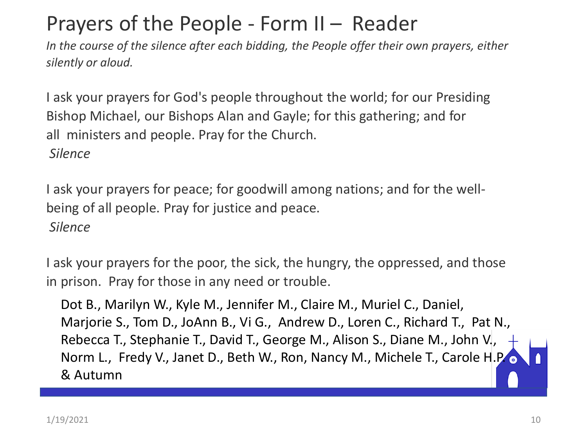## Prayers of the People - Form II – Reader

*In the course of the silence after each bidding, the People offer their own prayers, either silently or aloud.*

I ask your prayers for God's people throughout the world; for our Presiding Bishop Michael, our Bishops Alan and Gayle; for this gathering; and for all ministers and people. Pray for the Church. *Silence*

I ask your prayers for peace; for goodwill among nations; and for the wellbeing of all people. Pray for justice and peace. *Silence*

I ask your prayers for the poor, the sick, the hungry, the oppressed, and those in prison. Pray for those in any need or trouble.

Dot B., Marilyn W., Kyle M., Jennifer M., Claire M., Muriel C., Daniel, Marjorie S., Tom D., JoAnn B., Vi G., Andrew D., Loren C., Richard T., Pat N., Rebecca T., Stephanie T., David T., George M., Alison S., Diane M., John V., Norm L., Fredy V., Janet D., Beth W., Ron, Nancy M., Michele T., Carole H.P. o & Autumn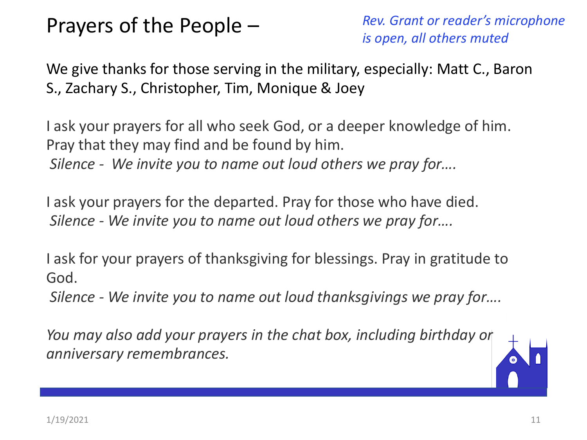## Prayers of the People –

*Rev. Grant or reader's microphone is open, all others muted*

We give thanks for those serving in the military, especially: Matt C., Baron S., Zachary S., Christopher, Tim, Monique & Joey

I ask your prayers for all who seek God, or a deeper knowledge of him. Pray that they may find and be found by him. *Silence - We invite you to name out loud others we pray for….*

I ask your prayers for the departed. Pray for those who have died. *Silence - We invite you to name out loud others we pray for….*

I ask for your prayers of thanksgiving for blessings. Pray in gratitude to God.

*Silence - We invite you to name out loud thanksgivings we pray for….*

*You may also add your prayers in the chat box, including birthday or anniversary remembrances.*

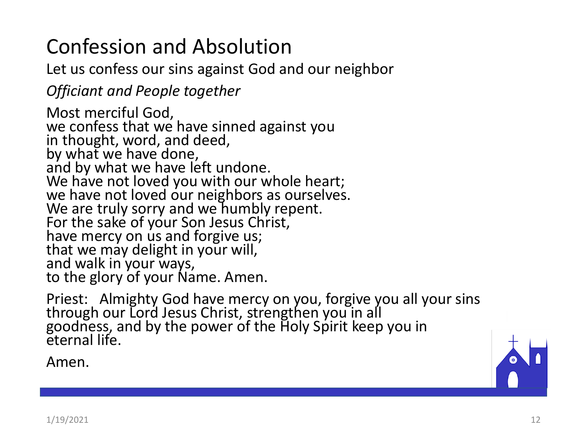# Confession and Absolution

Let us confess our sins against God and our neighbor

*Officiant and People together*

Most merciful God, we confess that we have sinned against you in thought, word, and deed, by what we have done, and by what we have left undone. We have not loved you with our whole heart; we have not loved our neighbors as ourselves. We are truly sorry and we humbly repent. For the sake of your Son Jesus Christ, have mercy on us and forgive us; that we may delight in your will, and walk in your ways, to the glory of your Name. Amen.

Priest: Almighty God have mercy on you, forgive you all your sins through our Lord Jesus Christ, strengthen you in all goodness, and by the power of the Holy Spirit keep you in eternal life.

Amen.

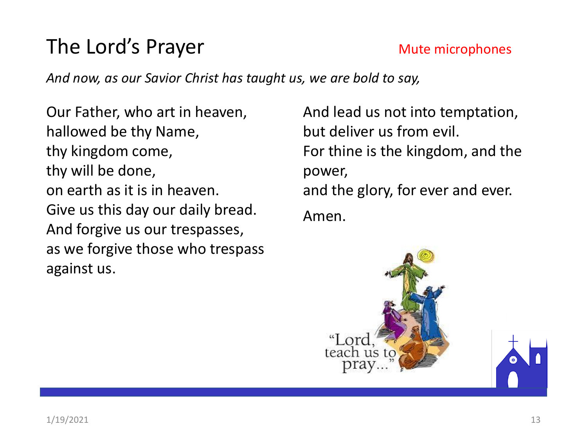## The Lord's Prayer Mute microphones

*And now, as our Savior Christ has taught us, we are bold to say,*

Our Father, who art in heaven, hallowed be thy Name, thy kingdom come, thy will be done, on earth as it is in heaven. Give us this day our daily bread. And forgive us our trespasses, as we forgive those who trespass against us.

And lead us not into temptation, but deliver us from evil. For thine is the kingdom, and the power, and the glory, for ever and ever. Amen.

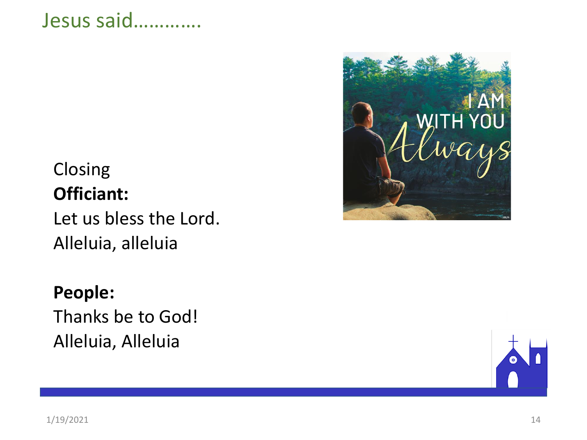### Jesus said………….

### Closing **Officiant:**

Let us bless the Lord. Alleluia, alleluia

#### **People:**

Thanks be to God! Alleluia, Alleluia